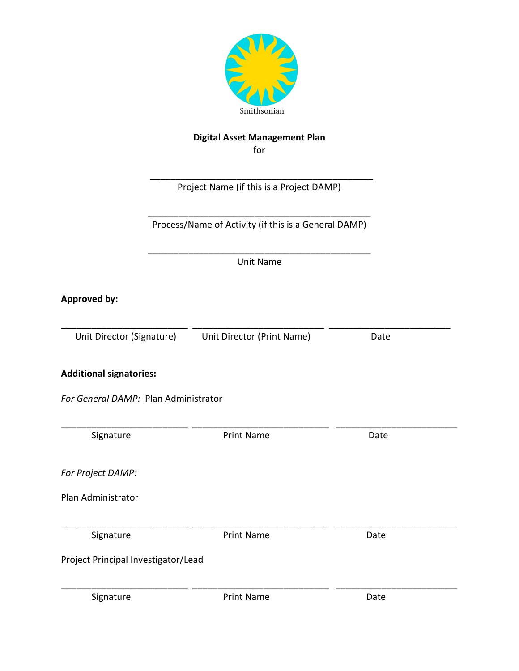

# **Digital Asset Management Plan**

for

 \_\_\_\_\_\_\_\_\_\_\_\_\_\_\_\_\_\_\_\_\_\_\_\_\_\_\_\_\_\_\_\_\_\_\_\_\_\_\_\_\_\_\_\_ Project Name (if this is a Project DAMP)

\_\_\_\_\_\_\_\_\_\_\_\_\_\_\_\_\_\_\_\_\_\_\_\_\_\_\_\_\_\_\_\_\_\_\_\_\_\_\_\_\_\_\_\_ Process/Name of Activity (if this is a General DAMP)

\_\_\_\_\_\_\_\_\_\_\_\_\_\_\_\_\_\_\_\_\_\_\_\_\_\_\_\_\_\_\_\_\_\_\_\_\_\_\_\_\_\_\_\_ Unit Name

**Approved by:**

\_\_\_\_\_\_\_\_\_\_\_\_\_\_\_\_\_\_\_\_\_\_\_\_\_ \_\_\_\_\_\_\_\_\_\_\_\_\_\_\_\_\_\_\_\_\_\_\_\_\_\_ \_\_\_\_\_\_\_\_\_\_\_\_\_\_\_\_\_\_\_\_\_\_\_\_ Unit Director (Signature) Unit Director (Print Name) Date

\_\_\_\_\_\_\_\_\_\_\_\_\_\_\_\_\_\_\_\_\_\_\_\_\_ \_\_\_\_\_\_\_\_\_\_\_\_\_\_\_\_\_\_\_\_\_\_\_\_\_\_\_ \_\_\_\_\_\_\_\_\_\_\_\_\_\_\_\_\_\_\_\_\_\_\_\_

**Additional signatories:**

*For General DAMP:* Plan Administrator

| Signature                           | <b>Print Name</b> | Date |
|-------------------------------------|-------------------|------|
| For Project DAMP:                   |                   |      |
| Plan Administrator                  |                   |      |
| Signature                           | <b>Print Name</b> | Date |
| Project Principal Investigator/Lead |                   |      |
| Signature                           | <b>Print Name</b> | Date |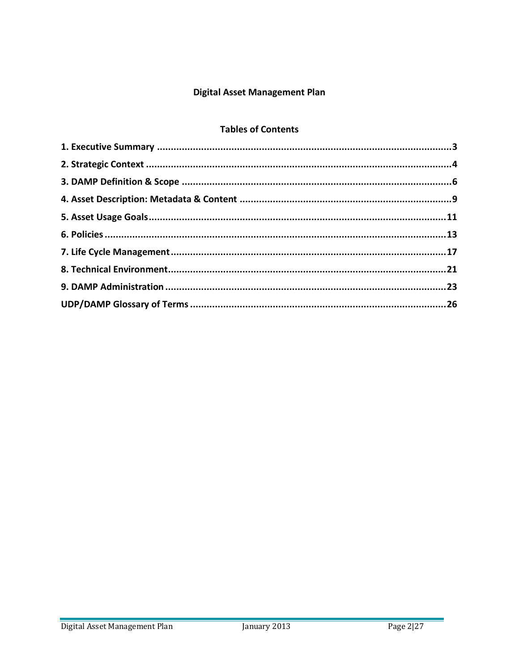# **Digital Asset Management Plan**

# **Tables of Contents**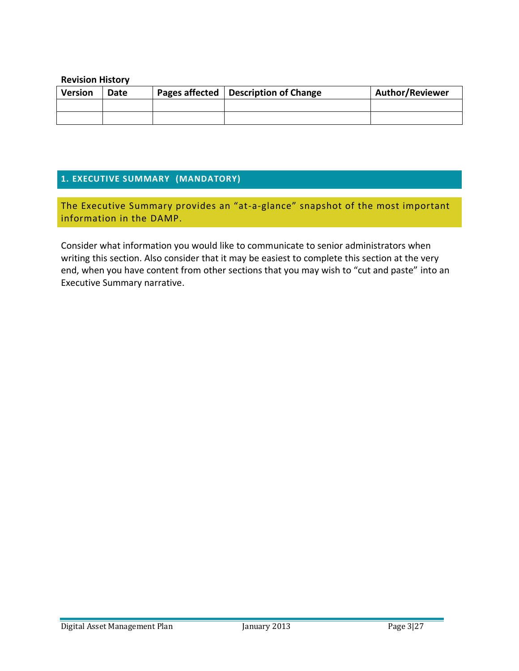#### **Revision History**

| <b>Version</b> | Date | Pages affected   Description of Change | <b>Author/Reviewer</b> |
|----------------|------|----------------------------------------|------------------------|
|                |      |                                        |                        |
|                |      |                                        |                        |

# **1. EXECUTIVE SUMMARY (MANDATORY)**

The Executive Summary provides an "at-a-glance" snapshot of the most important information in the DAMP.

Consider what information you would like to communicate to senior administrators when writing this section. Also consider that it may be easiest to complete this section at the very end, when you have content from other sections that you may wish to "cut and paste" into an Executive Summary narrative.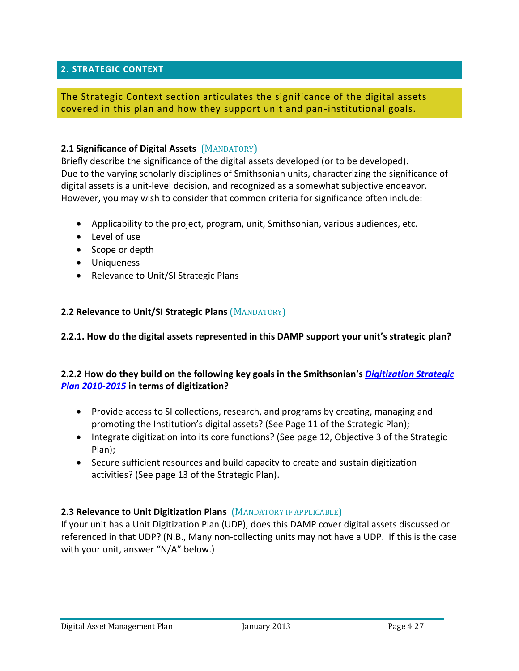### **2. STRATEGIC CONTEXT**

### The Strategic Context section articulates the significance of the digital assets covered in this plan and how they support unit and pan-institutional goals.

#### **2.1 Significance of Digital Assets** (MANDATORY)

Briefly describe the significance of the digital assets developed (or to be developed). Due to the varying scholarly disciplines of Smithsonian units, characterizing the significance of digital assets is a unit-level decision, and recognized as a somewhat subjective endeavor. However, you may wish to consider that common criteria for significance often include:

- Applicability to the project, program, unit, Smithsonian, various audiences, etc.
- Level of use
- Scope or depth
- Uniqueness
- Relevance to Unit/SI Strategic Plans

#### **2.2 Relevance to Unit/SI Strategic Plans** (MANDATORY)

#### **2.2.1. How do the digital assets represented in this DAMP support your unit's strategic plan?**

### **2.2.2 How do they build on the following key goals in the Smithsonian's** *Digitization Strategic Plan 2010-2015* **in terms of digitization?**

- Provide access to SI collections, research, and programs by creating, managing and promoting the Institution's digital assets? (See Page 11 of the Strategic Plan);
- Integrate digitization into its core functions? (See page 12, Objective 3 of the Strategic Plan);
- Secure sufficient resources and build capacity to create and sustain digitization activities? (See page 13 of the Strategic Plan).

#### **2.3 Relevance to Unit Digitization Plans** (MANDATORY IF APPLICABLE)

If your unit has a Unit Digitization Plan (UDP), does this DAMP cover digital assets discussed or referenced in that UDP? (N.B., Many non-collecting units may not have a UDP. If this is the case with your unit, answer "N/A" below.)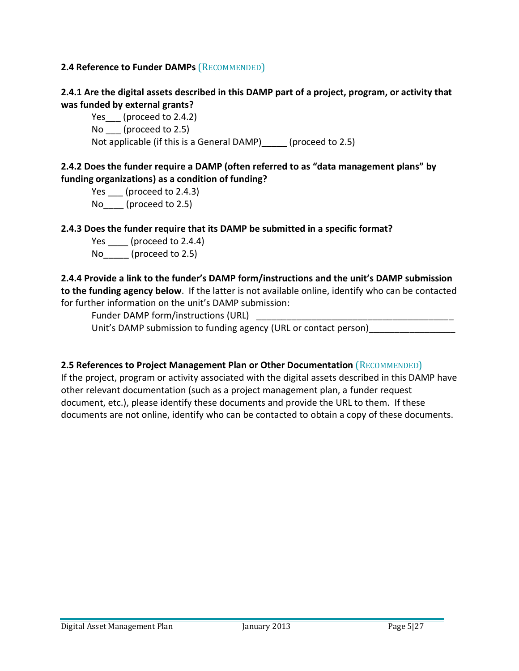### **2.4 Reference to Funder DAMPs** (RECOMMENDED)

# **2.4.1 Are the digital assets described in this DAMP part of a project, program, or activity that was funded by external grants?**

Yes (proceed to 2.4.2) No \_\_\_ (proceed to 2.5) Not applicable (if this is a General DAMP) (proceed to 2.5)

# **2.4.2 Does the funder require a DAMP (often referred to as "data management plans" by funding organizations) as a condition of funding?**

Yes \_\_\_\_ (proceed to 2.4.3) No (proceed to 2.5)

# **2.4.3 Does the funder require that its DAMP be submitted in a specific format?**

Yes (proceed to 2.4.4) No\_\_\_\_\_ (proceed to 2.5)

### **2.4.4 Provide a link to the funder's DAMP form/instructions and the unit's DAMP submission**

**to the funding agency below**. If the latter is not available online, identify who can be contacted for further information on the unit's DAMP submission:

Funder DAMP form/instructions (URL)

Unit's DAMP submission to funding agency (URL or contact person)\_\_\_\_\_\_\_\_\_\_\_\_\_\_\_\_\_

### **2.5 References to Project Management Plan or Other Documentation** (RECOMMENDED)

If the project, program or activity associated with the digital assets described in this DAMP have other relevant documentation (such as a project management plan, a funder request document, etc.), please identify these documents and provide the URL to them. If these documents are not online, identify who can be contacted to obtain a copy of these documents.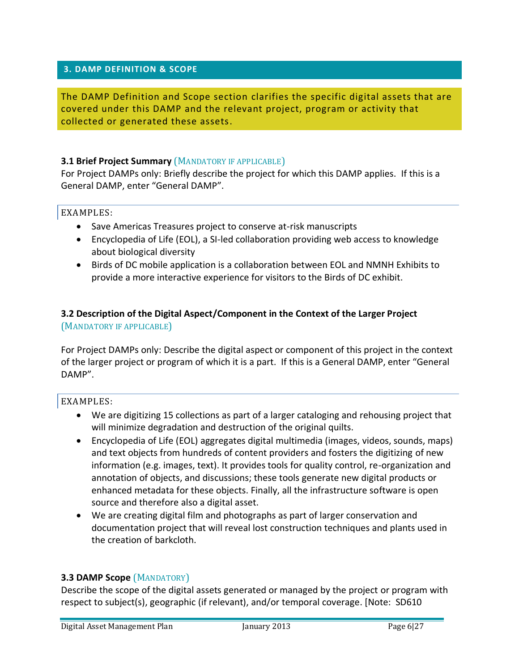#### **3. DAMP DEFINITION & SCOPE**

The DAMP Definition and Scope section clarifies the specific digital assets that are covered under this DAMP and the relevant project, program or activity that collected or generated these assets.

#### **3.1 Brief Project Summary** (MANDATORY IF APPLICABLE)

For Project DAMPs only: Briefly describe the project for which this DAMP applies. If this is a General DAMP, enter "General DAMP".

#### EXAMPLES:

- Save Americas Treasures project to conserve at-risk manuscripts
- Encyclopedia of Life (EOL), a SI-led collaboration providing web access to knowledge about biological diversity
- Birds of DC mobile application is a collaboration between EOL and NMNH Exhibits to provide a more interactive experience for visitors to the Birds of DC exhibit.

#### **3.2 Description of the Digital Aspect/Component in the Context of the Larger Project** (MANDATORY IF APPLICABLE)

For Project DAMPs only: Describe the digital aspect or component of this project in the context of the larger project or program of which it is a part. If this is a General DAMP, enter "General DAMP".

#### EXAMPLES:

- We are digitizing 15 collections as part of a larger cataloging and rehousing project that will minimize degradation and destruction of the original quilts.
- Encyclopedia of Life (EOL) aggregates digital multimedia (images, videos, sounds, maps) and text objects from hundreds of content providers and fosters the digitizing of new information (e.g. images, text). It provides tools for quality control, re-organization and annotation of objects, and discussions; these tools generate new digital products or enhanced metadata for these objects. Finally, all the infrastructure software is open source and therefore also a digital asset.
- We are creating digital film and photographs as part of larger conservation and documentation project that will reveal lost construction techniques and plants used in the creation of barkcloth.

#### **3.3 DAMP Scope** (MANDATORY)

Describe the scope of the digital assets generated or managed by the project or program with respect to subject(s), geographic (if relevant), and/or temporal coverage. [Note: SD610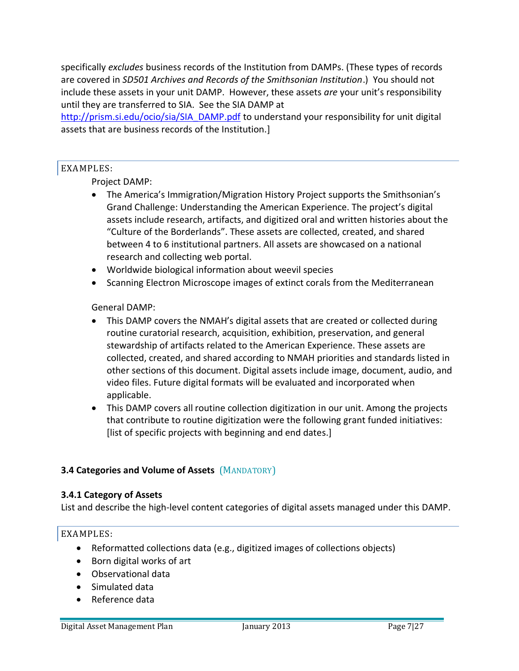specifically *excludes* business records of the Institution from DAMPs. (These types of records are covered in *SD501 Archives and Records of the Smithsonian Institution*.) You should not include these assets in your unit DAMP. However, these assets *are* your unit's responsibility until they are transferred to SIA. See the SIA DAMP at

http://prism.si.edu/ocio/sia/SIA\_DAMP.pdf to understand your responsibility for unit digital assets that are business records of the Institution.]

### EXAMPLES:

## Project DAMP:

- The America's Immigration/Migration History Project supports the Smithsonian's Grand Challenge: Understanding the American Experience. The project's digital assets include research, artifacts, and digitized oral and written histories about the "Culture of the Borderlands". These assets are collected, created, and shared between 4 to 6 institutional partners. All assets are showcased on a national research and collecting web portal.
- Worldwide biological information about weevil species
- Scanning Electron Microscope images of extinct corals from the Mediterranean

### General DAMP:

- This DAMP covers the NMAH's digital assets that are created or collected during routine curatorial research, acquisition, exhibition, preservation, and general stewardship of artifacts related to the American Experience. These assets are collected, created, and shared according to NMAH priorities and standards listed in other sections of this document. Digital assets include image, document, audio, and video files. Future digital formats will be evaluated and incorporated when applicable.
- This DAMP covers all routine collection digitization in our unit. Among the projects that contribute to routine digitization were the following grant funded initiatives: [list of specific projects with beginning and end dates.]

### **3.4 Categories and Volume of Assets** (MANDATORY)

#### **3.4.1 Category of Assets**

List and describe the high-level content categories of digital assets managed under this DAMP.

- Reformatted collections data (e.g., digitized images of collections objects)
- Born digital works of art
- Observational data
- Simulated data
- Reference data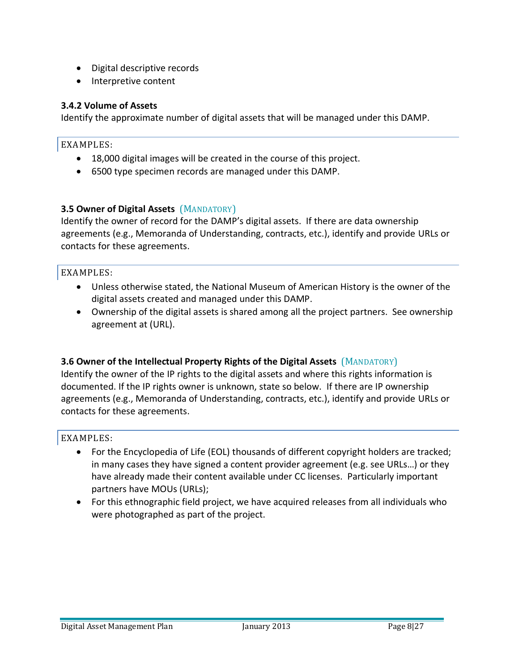- Digital descriptive records
- Interpretive content

### **3.4.2 Volume of Assets**

Identify the approximate number of digital assets that will be managed under this DAMP.

#### EXAMPLES:

- 18,000 digital images will be created in the course of this project.
- 6500 type specimen records are managed under this DAMP.

### **3.5 Owner of Digital Assets** (MANDATORY)

Identify the owner of record for the DAMP's digital assets. If there are data ownership agreements (e.g., Memoranda of Understanding, contracts, etc.), identify and provide URLs or contacts for these agreements.

#### EXAMPLES:

- Unless otherwise stated, the National Museum of American History is the owner of the digital assets created and managed under this DAMP.
- Ownership of the digital assets is shared among all the project partners. See ownership agreement at (URL).

### **3.6 Owner of the Intellectual Property Rights of the Digital Assets** (MANDATORY)

Identify the owner of the IP rights to the digital assets and where this rights information is documented. If the IP rights owner is unknown, state so below. If there are IP ownership agreements (e.g., Memoranda of Understanding, contracts, etc.), identify and provide URLs or contacts for these agreements.

- For the Encyclopedia of Life (EOL) thousands of different copyright holders are tracked; in many cases they have signed a content provider agreement (e.g. see URLs…) or they have already made their content available under CC licenses. Particularly important partners have MOUs (URLs);
- For this ethnographic field project, we have acquired releases from all individuals who were photographed as part of the project.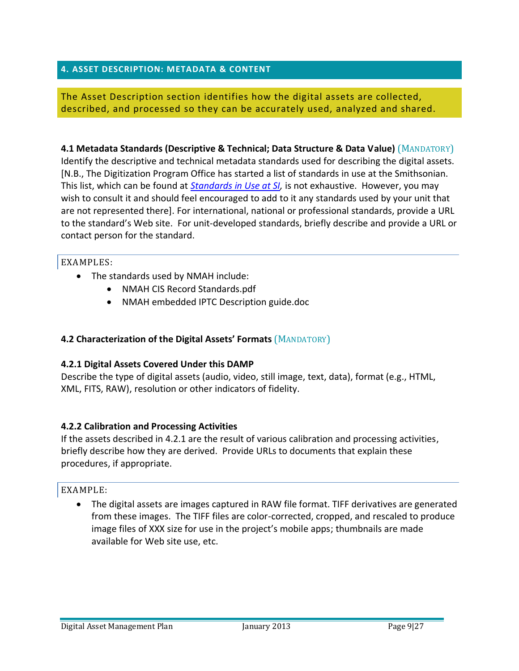### **4. ASSET DESCRIPTION: METADATA & CONTENT**

The Asset Description section identifies how the digital assets are collected, described, and processed so they can be accurately used, analyzed and shared.

**4.1 Metadata Standards (Descriptive & Technical; Data Structure & Data Value)** (MANDATORY) Identify the descriptive and technical metadata standards used for describing the digital assets. [N.B., The Digitization Program Office has started a list of standards in use at the Smithsonian. This list, which can be found at *Standards in Use at SI,* is not exhaustive. However, you may wish to consult it and should feel encouraged to add to it any standards used by your unit that are not represented there]. For international, national or professional standards, provide a URL to the standard's Web site. For unit-developed standards, briefly describe and provide a URL or contact person for the standard.

#### EXAMPLES:

- The standards used by NMAH include:
	- NMAH CIS Record Standards.pdf
	- NMAH embedded IPTC Description guide.doc

### **4.2 Characterization of the Digital Assets' Formats** (MANDATORY)

#### **4.2.1 Digital Assets Covered Under this DAMP**

Describe the type of digital assets (audio, video, still image, text, data), format (e.g., HTML, XML, FITS, RAW), resolution or other indicators of fidelity.

#### **4.2.2 Calibration and Processing Activities**

If the assets described in 4.2.1 are the result of various calibration and processing activities, briefly describe how they are derived. Provide URLs to documents that explain these procedures, if appropriate.

#### EXAMPLE:

 The digital assets are images captured in RAW file format. TIFF derivatives are generated from these images. The TIFF files are color-corrected, cropped, and rescaled to produce image files of XXX size for use in the project's mobile apps; thumbnails are made available for Web site use, etc.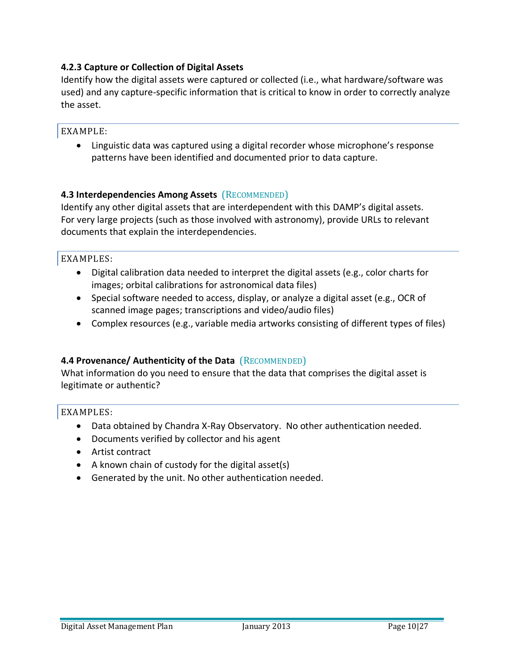### **4.2.3 Capture or Collection of Digital Assets**

Identify how the digital assets were captured or collected (i.e., what hardware/software was used) and any capture-specific information that is critical to know in order to correctly analyze the asset.

#### EXAMPLE:

 Linguistic data was captured using a digital recorder whose microphone's response patterns have been identified and documented prior to data capture.

### **4.3 Interdependencies Among Assets** (RECOMMENDED)

Identify any other digital assets that are interdependent with this DAMP's digital assets. For very large projects (such as those involved with astronomy), provide URLs to relevant documents that explain the interdependencies.

#### EXAMPLES:

- Digital calibration data needed to interpret the digital assets (e.g., color charts for images; orbital calibrations for astronomical data files)
- Special software needed to access, display, or analyze a digital asset (e.g., OCR of scanned image pages; transcriptions and video/audio files)
- Complex resources (e.g., variable media artworks consisting of different types of files)

### **4.4 Provenance/ Authenticity of the Data** (RECOMMENDED)

What information do you need to ensure that the data that comprises the digital asset is legitimate or authentic?

- Data obtained by Chandra X-Ray Observatory. No other authentication needed.
- Documents verified by collector and his agent
- Artist contract
- $\bullet$  A known chain of custody for the digital asset(s)
- Generated by the unit. No other authentication needed.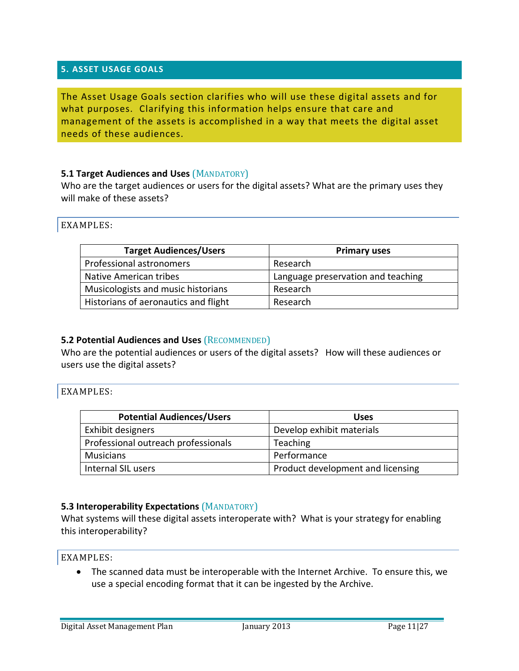#### **5. ASSET USAGE GOALS**

The Asset Usage Goals section clarifies who will use these digital assets and for what purposes. Clarifying this information helps ensure that care and management of the assets is accomplished in a way that meets the digital asset needs of these audiences.

#### **5.1 Target Audiences and Uses (MANDATORY)**

Who are the target audiences or users for the digital assets? What are the primary uses they will make of these assets?

EXAMPLES:

| <b>Target Audiences/Users</b>        | <b>Primary uses</b>                |
|--------------------------------------|------------------------------------|
| Professional astronomers             | Research                           |
| Native American tribes               | Language preservation and teaching |
| Musicologists and music historians   | Research                           |
| Historians of aeronautics and flight | Research                           |

#### **5.2 Potential Audiences and Uses** (RECOMMENDED)

Who are the potential audiences or users of the digital assets? How will these audiences or users use the digital assets?

#### EXAMPLES:

| <b>Potential Audiences/Users</b>    | <b>Uses</b>                       |
|-------------------------------------|-----------------------------------|
| Exhibit designers                   | Develop exhibit materials         |
| Professional outreach professionals | <b>Teaching</b>                   |
| <b>Musicians</b>                    | Performance                       |
| Internal SIL users                  | Product development and licensing |

#### **5.3 Interoperability Expectations** (MANDATORY)

What systems will these digital assets interoperate with? What is your strategy for enabling this interoperability?

EXAMPLES:

 The scanned data must be interoperable with the Internet Archive. To ensure this, we use a special encoding format that it can be ingested by the Archive.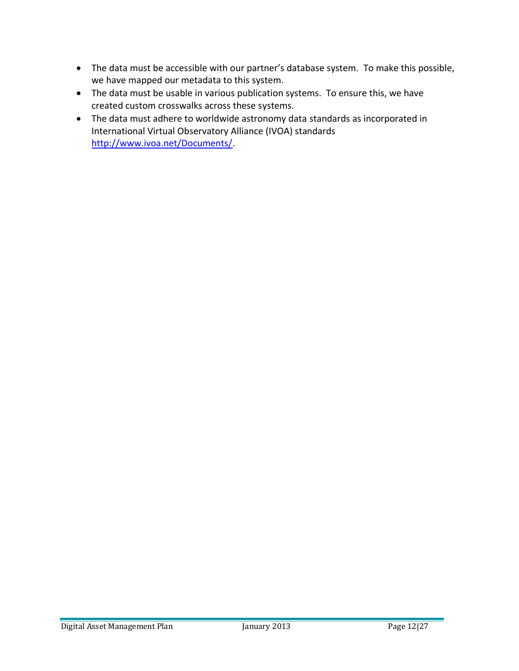- The data must be accessible with our partner's database system. To make this possible, we have mapped our metadata to this system.
- The data must be usable in various publication systems. To ensure this, we have created custom crosswalks across these systems.
- The data must adhere to worldwide astronomy data standards as incorporated in International Virtual Observatory Alliance (IVOA) standards http://www.ivoa.net/Documents/.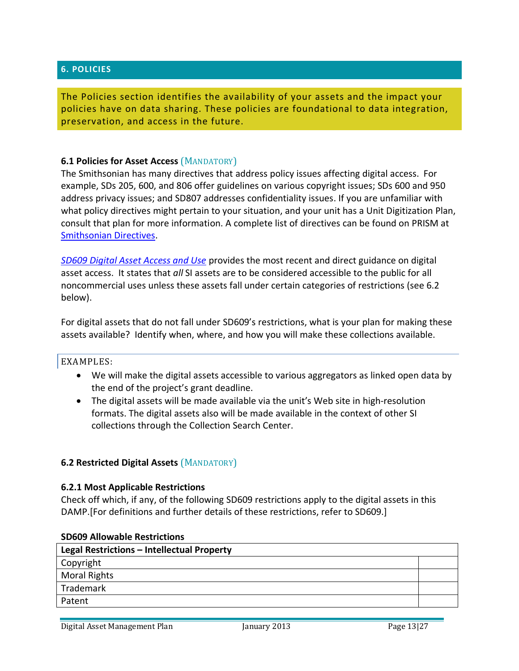#### **6. POLICIES**

The Policies section identifies the availability of your assets and the impact your policies have on data sharing. These policies are foundational to data integration, preservation, and access in the future.

#### **6.1 Policies for Asset Access** (MANDATORY)

The Smithsonian has many directives that address policy issues affecting digital access. For example, SDs 205, 600, and 806 offer guidelines on various copyright issues; SDs 600 and 950 address privacy issues; and SD807 addresses confidentiality issues. If you are unfamiliar with what policy directives might pertain to your situation, and your unit has a Unit Digitization Plan, consult that plan for more information. A complete list of directives can be found on PRISM at Smithsonian Directives.

*SD609 Digital Asset Access and Use* provides the most recent and direct guidance on digital asset access. It states that *all* SI assets are to be considered accessible to the public for all noncommercial uses unless these assets fall under certain categories of restrictions (see 6.2 below).

For digital assets that do not fall under SD609's restrictions, what is your plan for making these assets available? Identify when, where, and how you will make these collections available.

#### EXAMPLES:

- We will make the digital assets accessible to various aggregators as linked open data by the end of the project's grant deadline.
- The digital assets will be made available via the unit's Web site in high-resolution formats. The digital assets also will be made available in the context of other SI collections through the Collection Search Center.

#### **6.2 Restricted Digital Assets** (MANDATORY)

#### **6.2.1 Most Applicable Restrictions**

Check off which, if any, of the following SD609 restrictions apply to the digital assets in this DAMP.[For definitions and further details of these restrictions, refer to SD609.]

| Legal Restrictions - Intellectual Property |  |  |
|--------------------------------------------|--|--|
| Copyright                                  |  |  |
| <b>Moral Rights</b>                        |  |  |
| Trademark                                  |  |  |
| Patent                                     |  |  |

#### **SD609 Allowable Restrictions**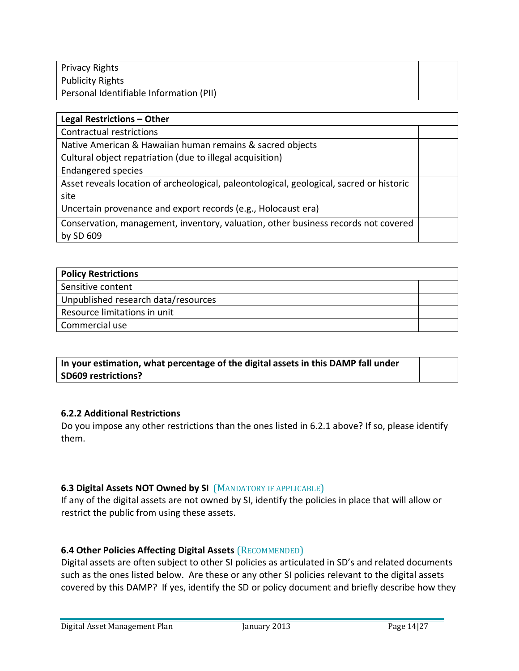| Privacy Rights                          |  |
|-----------------------------------------|--|
| <b>Publicity Rights</b>                 |  |
| Personal Identifiable Information (PII) |  |

| Legal Restrictions - Other                                                               |  |
|------------------------------------------------------------------------------------------|--|
| Contractual restrictions                                                                 |  |
| Native American & Hawaiian human remains & sacred objects                                |  |
| Cultural object repatriation (due to illegal acquisition)                                |  |
| <b>Endangered species</b>                                                                |  |
| Asset reveals location of archeological, paleontological, geological, sacred or historic |  |
| site                                                                                     |  |
| Uncertain provenance and export records (e.g., Holocaust era)                            |  |
| Conservation, management, inventory, valuation, other business records not covered       |  |
| by SD 609                                                                                |  |

| <b>Policy Restrictions</b>          |  |  |
|-------------------------------------|--|--|
| Sensitive content                   |  |  |
| Unpublished research data/resources |  |  |
| Resource limitations in unit        |  |  |
| Commercial use                      |  |  |

**In your estimation, what percentage of the digital assets in this DAMP fall under SD609 restrictions?**

### **6.2.2 Additional Restrictions**

Do you impose any other restrictions than the ones listed in 6.2.1 above? If so, please identify them.

### **6.3 Digital Assets NOT Owned by SI** (MANDATORY IF APPLICABLE)

If any of the digital assets are not owned by SI, identify the policies in place that will allow or restrict the public from using these assets.

### **6.4 Other Policies Affecting Digital Assets** (RECOMMENDED)

Digital assets are often subject to other SI policies as articulated in SD's and related documents such as the ones listed below. Are these or any other SI policies relevant to the digital assets covered by this DAMP? If yes, identify the SD or policy document and briefly describe how they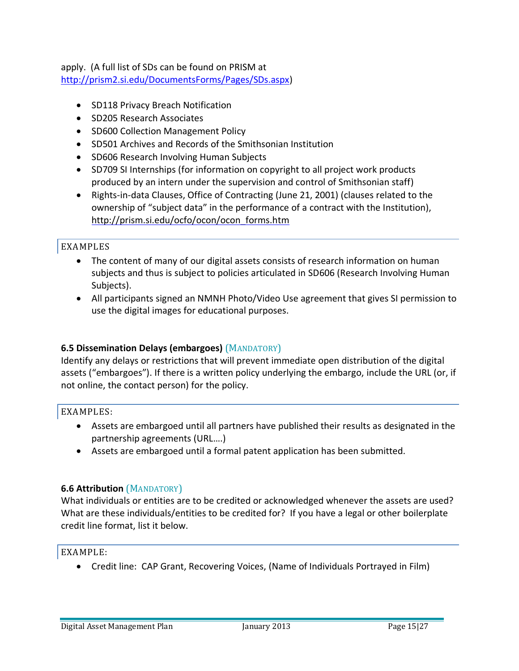apply. (A full list of SDs can be found on PRISM at http://prism2.si.edu/DocumentsForms/Pages/SDs.aspx)

- SD118 Privacy Breach Notification
- SD205 Research Associates
- SD600 Collection Management Policy
- SD501 Archives and Records of the Smithsonian Institution
- SD606 Research Involving Human Subjects
- SD709 SI Internships (for information on copyright to all project work products produced by an intern under the supervision and control of Smithsonian staff)
- Rights-in-data Clauses, Office of Contracting (June 21, 2001) (clauses related to the ownership of "subject data" in the performance of a contract with the Institution), http://prism.si.edu/ocfo/ocon/ocon\_forms.htm

### EXAMPLES

- The content of many of our digital assets consists of research information on human subjects and thus is subject to policies articulated in SD606 (Research Involving Human Subjects).
- All participants signed an NMNH Photo/Video Use agreement that gives SI permission to use the digital images for educational purposes.

### **6.5 Dissemination Delays (embargoes)** (MANDATORY)

Identify any delays or restrictions that will prevent immediate open distribution of the digital assets ("embargoes"). If there is a written policy underlying the embargo, include the URL (or, if not online, the contact person) for the policy.

### EXAMPLES:

- Assets are embargoed until all partners have published their results as designated in the partnership agreements (URL….)
- Assets are embargoed until a formal patent application has been submitted.

### **6.6 Attribution** (MANDATORY)

What individuals or entities are to be credited or acknowledged whenever the assets are used? What are these individuals/entities to be credited for? If you have a legal or other boilerplate credit line format, list it below.

### EXAMPLE:

Credit line: CAP Grant, Recovering Voices, (Name of Individuals Portrayed in Film)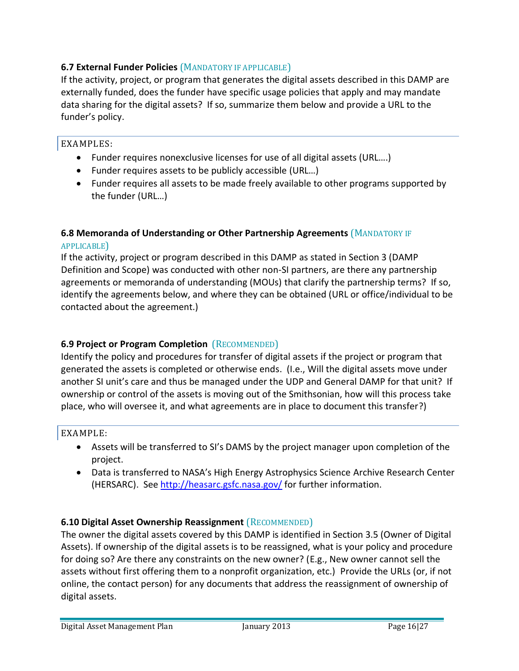### **6.7 External Funder Policies** (MANDATORY IF APPLICABLE)

If the activity, project, or program that generates the digital assets described in this DAMP are externally funded, does the funder have specific usage policies that apply and may mandate data sharing for the digital assets? If so, summarize them below and provide a URL to the funder's policy.

#### EXAMPLES:

- Funder requires nonexclusive licenses for use of all digital assets (URL….)
- Funder requires assets to be publicly accessible (URL…)
- Funder requires all assets to be made freely available to other programs supported by the funder (URL…)

## **6.8 Memoranda of Understanding or Other Partnership Agreements** (MANDATORY IF

#### APPLICABLE)

If the activity, project or program described in this DAMP as stated in Section 3 (DAMP Definition and Scope) was conducted with other non-SI partners, are there any partnership agreements or memoranda of understanding (MOUs) that clarify the partnership terms? If so, identify the agreements below, and where they can be obtained (URL or office/individual to be contacted about the agreement.)

### **6.9 Project or Program Completion** (RECOMMENDED)

Identify the policy and procedures for transfer of digital assets if the project or program that generated the assets is completed or otherwise ends. (I.e., Will the digital assets move under another SI unit's care and thus be managed under the UDP and General DAMP for that unit? If ownership or control of the assets is moving out of the Smithsonian, how will this process take place, who will oversee it, and what agreements are in place to document this transfer?)

### EXAMPLE:

- Assets will be transferred to SI's DAMS by the project manager upon completion of the project.
- Data is transferred to NASA's High Energy Astrophysics Science Archive Research Center (HERSARC). See http://heasarc.gsfc.nasa.gov/ for further information.

### **6.10 Digital Asset Ownership Reassignment** (RECOMMENDED)

The owner the digital assets covered by this DAMP is identified in Section 3.5 (Owner of Digital Assets). If ownership of the digital assets is to be reassigned, what is your policy and procedure for doing so? Are there any constraints on the new owner? (E.g., New owner cannot sell the assets without first offering them to a nonprofit organization, etc.) Provide the URLs (or, if not online, the contact person) for any documents that address the reassignment of ownership of digital assets.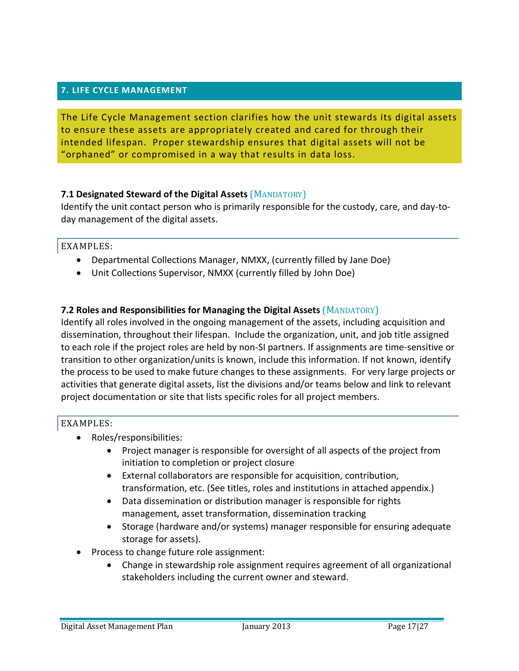### **7. LIFE CYCLE MANAGEMENT**

The Life Cycle Management section clarifies how the unit stewards its digital assets to ensure these assets are appropriately created and cared for through their intended lifespan. Proper stewardship ensures that digital assets will not be "orphaned" or compromised in a way that results in data loss.

### **7.1 Designated Steward of the Digital Assets** (MANDATORY)

Identify the unit contact person who is primarily responsible for the custody, care, and day-today management of the digital assets.

#### EXAMPLES:

- Departmental Collections Manager, NMXX, (currently filled by Jane Doe)
- Unit Collections Supervisor, NMXX (currently filled by John Doe)

### **7.2 Roles and Responsibilities for Managing the Digital Assets** (MANDATORY)

Identify all roles involved in the ongoing management of the assets, including acquisition and dissemination, throughout their lifespan. Include the organization, unit, and job title assigned to each role if the project roles are held by non-SI partners. If assignments are time-sensitive or transition to other organization/units is known, include this information. If not known, identify the process to be used to make future changes to these assignments. For very large projects or activities that generate digital assets, list the divisions and/or teams below and link to relevant project documentation or site that lists specific roles for all project members.

- Roles/responsibilities:
	- Project manager is responsible for oversight of all aspects of the project from initiation to completion or project closure
	- External collaborators are responsible for acquisition, contribution, transformation, etc. (See titles, roles and institutions in attached appendix.)
	- Data dissemination or distribution manager is responsible for rights management, asset transformation, dissemination tracking
	- Storage (hardware and/or systems) manager responsible for ensuring adequate storage for assets).
- Process to change future role assignment:
	- Change in stewardship role assignment requires agreement of all organizational stakeholders including the current owner and steward.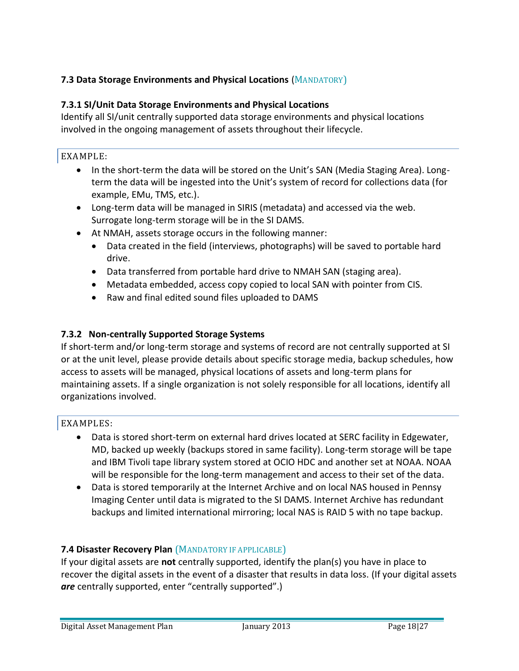# **7.3 Data Storage Environments and Physical Locations** (MANDATORY)

# **7.3.1 SI/Unit Data Storage Environments and Physical Locations**

Identify all SI/unit centrally supported data storage environments and physical locations involved in the ongoing management of assets throughout their lifecycle.

#### EXAMPLE:

- In the short-term the data will be stored on the Unit's SAN (Media Staging Area). Longterm the data will be ingested into the Unit's system of record for collections data (for example, EMu, TMS, etc.).
- Long-term data will be managed in SIRIS (metadata) and accessed via the web. Surrogate long-term storage will be in the SI DAMS.
- At NMAH, assets storage occurs in the following manner:
	- Data created in the field (interviews, photographs) will be saved to portable hard drive.
	- Data transferred from portable hard drive to NMAH SAN (staging area).
	- Metadata embedded, access copy copied to local SAN with pointer from CIS.
	- Raw and final edited sound files uploaded to DAMS

#### **7.3.2 Non-centrally Supported Storage Systems**

If short-term and/or long-term storage and systems of record are not centrally supported at SI or at the unit level, please provide details about specific storage media, backup schedules, how access to assets will be managed, physical locations of assets and long-term plans for maintaining assets. If a single organization is not solely responsible for all locations, identify all organizations involved.

#### EXAMPLES:

- Data is stored short-term on external hard drives located at SERC facility in Edgewater, MD, backed up weekly (backups stored in same facility). Long-term storage will be tape and IBM Tivoli tape library system stored at OCIO HDC and another set at NOAA. NOAA will be responsible for the long-term management and access to their set of the data.
- Data is stored temporarily at the Internet Archive and on local NAS housed in Pennsy Imaging Center until data is migrated to the SI DAMS. Internet Archive has redundant backups and limited international mirroring; local NAS is RAID 5 with no tape backup.

### **7.4 Disaster Recovery Plan** (MANDATORY IF APPLICABLE)

If your digital assets are **not** centrally supported, identify the plan(s) you have in place to recover the digital assets in the event of a disaster that results in data loss. (If your digital assets *are* centrally supported, enter "centrally supported".)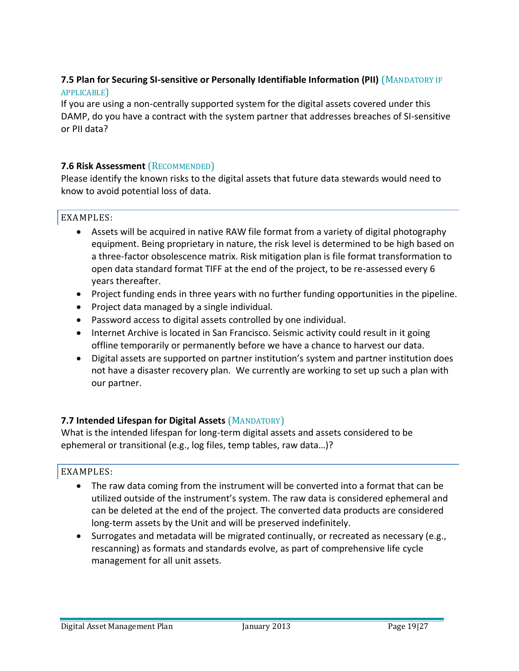### **7.5 Plan for Securing SI-sensitive or Personally Identifiable Information (PII)** (MANDATORY IF APPLICABLE)

If you are using a non-centrally supported system for the digital assets covered under this DAMP, do you have a contract with the system partner that addresses breaches of SI-sensitive or PII data?

### **7.6 Risk Assessment** (RECOMMENDED)

Please identify the known risks to the digital assets that future data stewards would need to know to avoid potential loss of data.

### EXAMPLES:

- Assets will be acquired in native RAW file format from a variety of digital photography equipment. Being proprietary in nature, the risk level is determined to be high based on a three-factor obsolescence matrix. Risk mitigation plan is file format transformation to open data standard format TIFF at the end of the project, to be re-assessed every 6 years thereafter.
- Project funding ends in three years with no further funding opportunities in the pipeline.
- Project data managed by a single individual.
- Password access to digital assets controlled by one individual.
- Internet Archive is located in San Francisco. Seismic activity could result in it going offline temporarily or permanently before we have a chance to harvest our data.
- Digital assets are supported on partner institution's system and partner institution does not have a disaster recovery plan. We currently are working to set up such a plan with our partner.

### **7.7 Intended Lifespan for Digital Assets** (MANDATORY)

What is the intended lifespan for long-term digital assets and assets considered to be ephemeral or transitional (e.g., log files, temp tables, raw data…)?

- The raw data coming from the instrument will be converted into a format that can be utilized outside of the instrument's system. The raw data is considered ephemeral and can be deleted at the end of the project. The converted data products are considered long-term assets by the Unit and will be preserved indefinitely.
- Surrogates and metadata will be migrated continually, or recreated as necessary (e.g., rescanning) as formats and standards evolve, as part of comprehensive life cycle management for all unit assets.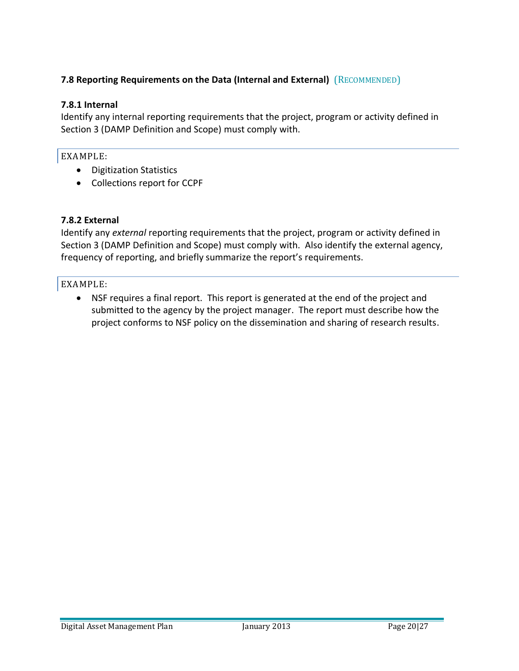# **7.8 Reporting Requirements on the Data (Internal and External)** (RECOMMENDED)

### **7.8.1 Internal**

Identify any internal reporting requirements that the project, program or activity defined in Section 3 (DAMP Definition and Scope) must comply with.

## EXAMPLE:

- Digitization Statistics
- Collections report for CCPF

## **7.8.2 External**

Identify any *external* reporting requirements that the project, program or activity defined in Section 3 (DAMP Definition and Scope) must comply with. Also identify the external agency, frequency of reporting, and briefly summarize the report's requirements.

## EXAMPLE:

 NSF requires a final report. This report is generated at the end of the project and submitted to the agency by the project manager. The report must describe how the project conforms to NSF policy on the dissemination and sharing of research results.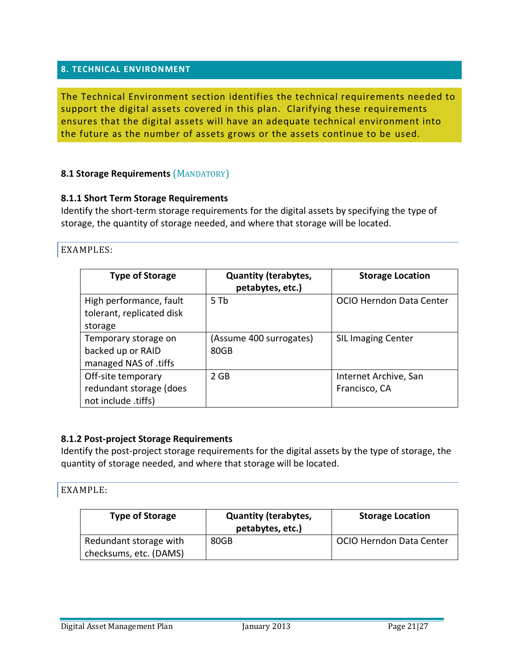#### **8. TECHNICAL ENVIRONMENT**

The Technical Environment section identifies the technical requirements needed to support the digital assets covered in this plan. Clarifying these requirements ensures that the digital assets will have an adequate technical environment into the future as the number of assets grows or the assets continue to be used.

#### **8.1 Storage Requirements (MANDATORY)**

#### **8.1.1 Short Term Storage Requirements**

Identify the short-term storage requirements for the digital assets by specifying the type of storage, the quantity of storage needed, and where that storage will be located.

#### EXAMPLES:

| <b>Type of Storage</b>                                               | <b>Quantity (terabytes,</b><br>petabytes, etc.) | <b>Storage Location</b>                |
|----------------------------------------------------------------------|-------------------------------------------------|----------------------------------------|
| High performance, fault<br>tolerant, replicated disk<br>storage      | $5$ Th                                          | OCIO Herndon Data Center               |
| Temporary storage on<br>backed up or RAID<br>managed NAS of .tiffs   | (Assume 400 surrogates)<br>80GB                 | <b>SIL Imaging Center</b>              |
| Off-site temporary<br>redundant storage (does<br>not include .tiffs) | 2 GB                                            | Internet Archive, San<br>Francisco, CA |

#### **8.1.2 Post-project Storage Requirements**

Identify the post-project storage requirements for the digital assets by the type of storage, the quantity of storage needed, and where that storage will be located.

| <b>Type of Storage</b> | <b>Quantity (terabytes,</b><br>petabytes, etc.) | <b>Storage Location</b>         |
|------------------------|-------------------------------------------------|---------------------------------|
| Redundant storage with | 80GB                                            | <b>OCIO Herndon Data Center</b> |
| checksums, etc. (DAMS) |                                                 |                                 |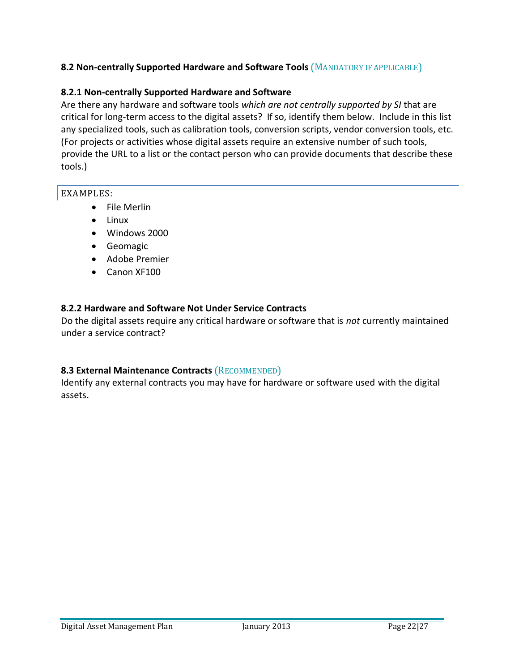## **8.2 Non-centrally Supported Hardware and Software Tools** (MANDATORY IF APPLICABLE)

### **8.2.1 Non-centrally Supported Hardware and Software**

Are there any hardware and software tools *which are not centrally supported by SI* that are critical for long-term access to the digital assets? If so, identify them below. Include in this list any specialized tools, such as calibration tools, conversion scripts, vendor conversion tools, etc. (For projects or activities whose digital assets require an extensive number of such tools, provide the URL to a list or the contact person who can provide documents that describe these tools.)

#### EXAMPLES:

- File Merlin
- Linux
- Windows 2000
- **•** Geomagic
- Adobe Premier
- Canon XF100

### **8.2.2 Hardware and Software Not Under Service Contracts**

Do the digital assets require any critical hardware or software that is *not* currently maintained under a service contract?

# **8.3 External Maintenance Contracts** (RECOMMENDED)

Identify any external contracts you may have for hardware or software used with the digital assets.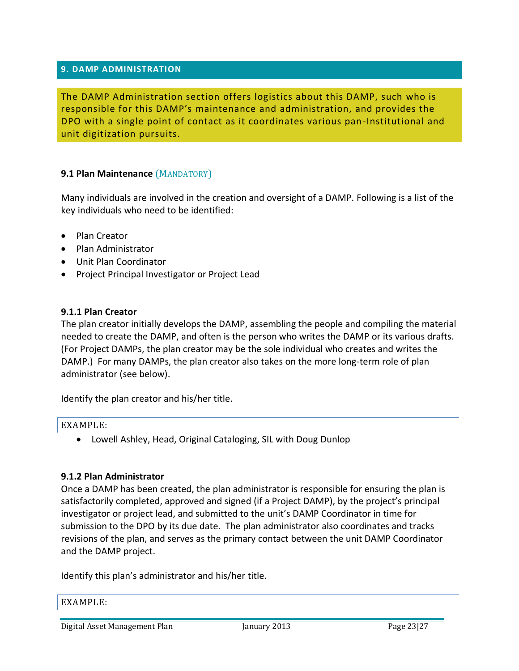#### **9. DAMP ADMINISTRATION**

The DAMP Administration section offers logistics about this DAMP, such who is responsible for this DAMP's maintenance and administration, and provides the DPO with a single point of contact as it coordinates various pan-Institutional and unit digitization pursuits.

#### **9.1 Plan Maintenance** (MANDATORY)

Many individuals are involved in the creation and oversight of a DAMP. Following is a list of the key individuals who need to be identified:

- Plan Creator
- Plan Administrator
- Unit Plan Coordinator
- Project Principal Investigator or Project Lead

#### **9.1.1 Plan Creator**

The plan creator initially develops the DAMP, assembling the people and compiling the material needed to create the DAMP, and often is the person who writes the DAMP or its various drafts. (For Project DAMPs, the plan creator may be the sole individual who creates and writes the DAMP.) For many DAMPs, the plan creator also takes on the more long-term role of plan administrator (see below).

Identify the plan creator and his/her title.

#### EXAMPLE:

Lowell Ashley, Head, Original Cataloging, SIL with Doug Dunlop

#### **9.1.2 Plan Administrator**

Once a DAMP has been created, the plan administrator is responsible for ensuring the plan is satisfactorily completed, approved and signed (if a Project DAMP), by the project's principal investigator or project lead, and submitted to the unit's DAMP Coordinator in time for submission to the DPO by its due date. The plan administrator also coordinates and tracks revisions of the plan, and serves as the primary contact between the unit DAMP Coordinator and the DAMP project.

Identify this plan's administrator and his/her title.

#### EXAMPLE:

Digital Asset Management Plan January 2013 Page 23|27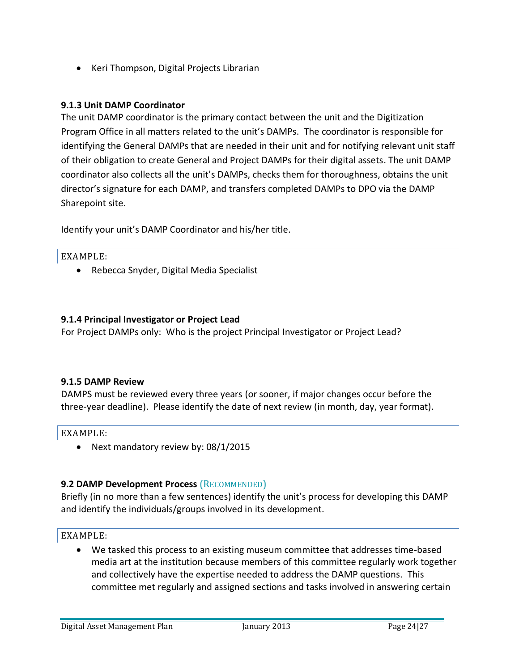• Keri Thompson, Digital Projects Librarian

#### **9.1.3 Unit DAMP Coordinator**

The unit DAMP coordinator is the primary contact between the unit and the Digitization Program Office in all matters related to the unit's DAMPs. The coordinator is responsible for identifying the General DAMPs that are needed in their unit and for notifying relevant unit staff of their obligation to create General and Project DAMPs for their digital assets. The unit DAMP coordinator also collects all the unit's DAMPs, checks them for thoroughness, obtains the unit director's signature for each DAMP, and transfers completed DAMPs to DPO via the DAMP Sharepoint site.

Identify your unit's DAMP Coordinator and his/her title.

#### EXAMPLE:

• Rebecca Snyder, Digital Media Specialist

#### **9.1.4 Principal Investigator or Project Lead**

For Project DAMPs only: Who is the project Principal Investigator or Project Lead?

#### **9.1.5 DAMP Review**

DAMPS must be reviewed every three years (or sooner, if major changes occur before the three-year deadline). Please identify the date of next review (in month, day, year format).

EXAMPLE:

• Next mandatory review by: 08/1/2015

#### **9.2 DAMP Development Process** (RECOMMENDED)

Briefly (in no more than a few sentences) identify the unit's process for developing this DAMP and identify the individuals/groups involved in its development.

#### EXAMPLE:

 We tasked this process to an existing museum committee that addresses time-based media art at the institution because members of this committee regularly work together and collectively have the expertise needed to address the DAMP questions. This committee met regularly and assigned sections and tasks involved in answering certain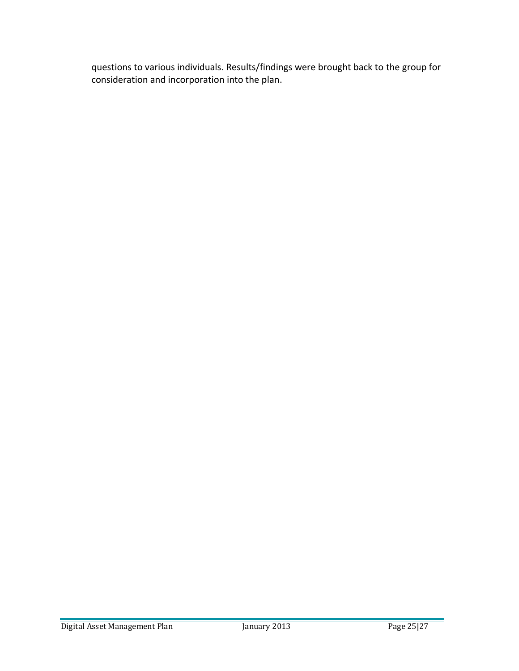questions to various individuals. Results/findings were brought back to the group for consideration and incorporation into the plan.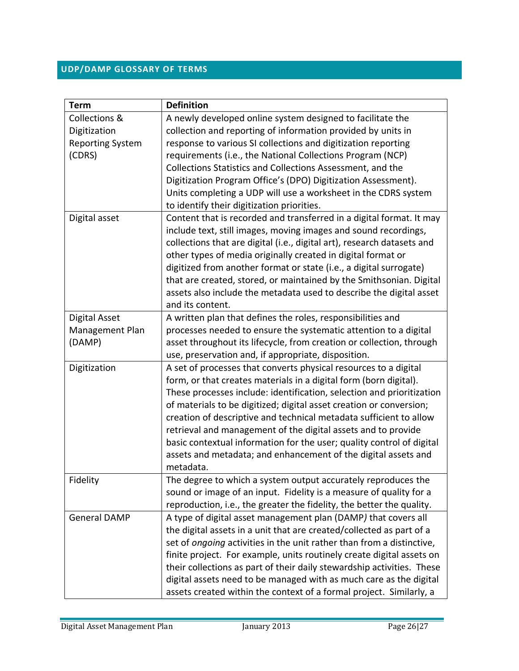# **UDP/DAMP GLOSSARY OF TERMS**

| <b>Term</b>              | <b>Definition</b>                                                       |
|--------------------------|-------------------------------------------------------------------------|
| <b>Collections &amp;</b> | A newly developed online system designed to facilitate the              |
| Digitization             | collection and reporting of information provided by units in            |
| <b>Reporting System</b>  | response to various SI collections and digitization reporting           |
| (CDRS)                   | requirements (i.e., the National Collections Program (NCP)              |
|                          | Collections Statistics and Collections Assessment, and the              |
|                          | Digitization Program Office's (DPO) Digitization Assessment).           |
|                          | Units completing a UDP will use a worksheet in the CDRS system          |
|                          | to identify their digitization priorities.                              |
| Digital asset            | Content that is recorded and transferred in a digital format. It may    |
|                          | include text, still images, moving images and sound recordings,         |
|                          | collections that are digital (i.e., digital art), research datasets and |
|                          | other types of media originally created in digital format or            |
|                          | digitized from another format or state (i.e., a digital surrogate)      |
|                          | that are created, stored, or maintained by the Smithsonian. Digital     |
|                          | assets also include the metadata used to describe the digital asset     |
|                          | and its content.                                                        |
| <b>Digital Asset</b>     | A written plan that defines the roles, responsibilities and             |
| Management Plan          | processes needed to ensure the systematic attention to a digital        |
| (DAMP)                   | asset throughout its lifecycle, from creation or collection, through    |
|                          | use, preservation and, if appropriate, disposition.                     |
| Digitization             | A set of processes that converts physical resources to a digital        |
|                          | form, or that creates materials in a digital form (born digital).       |
|                          | These processes include: identification, selection and prioritization   |
|                          | of materials to be digitized; digital asset creation or conversion;     |
|                          | creation of descriptive and technical metadata sufficient to allow      |
|                          | retrieval and management of the digital assets and to provide           |
|                          | basic contextual information for the user; quality control of digital   |
|                          | assets and metadata; and enhancement of the digital assets and          |
|                          | metadata.                                                               |
| Fidelity                 | The degree to which a system output accurately reproduces the           |
|                          | sound or image of an input. Fidelity is a measure of quality for a      |
|                          | reproduction, i.e., the greater the fidelity, the better the quality.   |
| <b>General DAMP</b>      | A type of digital asset management plan (DAMP) that covers all          |
|                          | the digital assets in a unit that are created/collected as part of a    |
|                          | set of ongoing activities in the unit rather than from a distinctive,   |
|                          | finite project. For example, units routinely create digital assets on   |
|                          | their collections as part of their daily stewardship activities. These  |
|                          | digital assets need to be managed with as much care as the digital      |
|                          | assets created within the context of a formal project. Similarly, a     |